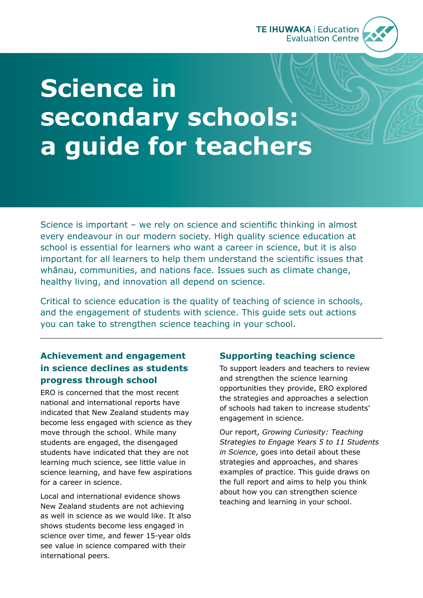

# **Science in secondary schools: a guide for teachers**

Science is important – we rely on science and scientific thinking in almost every endeavour in our modern society. High quality science education at school is essential for learners who want a career in science, but it is also important for all learners to help them understand the scientific issues that whānau, communities, and nations face. Issues such as climate change, healthy living, and innovation all depend on science.

Critical to science education is the quality of teaching of science in schools, and the engagement of students with science. This guide sets out actions you can take to strengthen science teaching in your school.

## **Achievement and engagement in science declines as students progress through school**

ERO is concerned that the most recent national and international reports have indicated that New Zealand students may become less engaged with science as they move through the school. While many students are engaged, the disengaged students have indicated that they are not learning much science, see little value in science learning, and have few aspirations for a career in science.

Local and international evidence shows New Zealand students are not achieving as well in science as we would like. It also shows students become less engaged in science over time, and fewer 15-year olds see value in science compared with their international peers.

## **Supporting teaching science**

To support leaders and teachers to review and strengthen the science learning opportunities they provide, ERO explored the strategies and approaches a selection of schools had taken to increase students' engagement in science.

Our report, *Growing Curiosity: Teaching Strategies to Engage Years 5 to 11 Students in Science*, goes into detail about these strategies and approaches, and shares examples of practice. This guide draws on the full report and aims to help you think about how you can strengthen science teaching and learning in your school.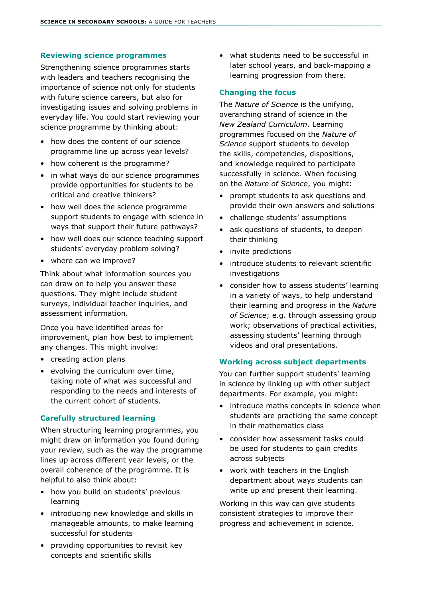#### **Reviewing science programmes**

Strengthening science programmes starts with leaders and teachers recognising the importance of science not only for students with future science careers, but also for investigating issues and solving problems in everyday life. You could start reviewing your science programme by thinking about:

- how does the content of our science programme line up across year levels?
- how coherent is the programme?
- in what ways do our science programmes provide opportunities for students to be critical and creative thinkers?
- how well does the science programme support students to engage with science in ways that support their future pathways?
- how well does our science teaching support students' everyday problem solving?
- where can we improve?

Think about what information sources you can draw on to help you answer these questions. They might include student surveys, individual teacher inquiries, and assessment information.

Once you have identified areas for improvement, plan how best to implement any changes. This might involve:

- creating action plans
- evolving the curriculum over time, taking note of what was successful and responding to the needs and interests of the current cohort of students.

#### **Carefully structured learning**

When structuring learning programmes, you might draw on information you found during your review, such as the way the programme lines up across different year levels, or the overall coherence of the programme. It is helpful to also think about:

- how you build on students' previous learning
- introducing new knowledge and skills in manageable amounts, to make learning successful for students
- providing opportunities to revisit key concepts and scientific skills

• what students need to be successful in later school years, and back-mapping a learning progression from there.

#### **Changing the focus**

The *Nature of Science* is the unifying, overarching strand of science in the *New Zealand Curriculum*. Learning programmes focused on the *Nature of Science* support students to develop the skills, competencies, dispositions, and knowledge required to participate successfully in science. When focusing on the *Nature of Science*, you might:

- prompt students to ask questions and provide their own answers and solutions
- challenge students' assumptions
- ask questions of students, to deepen their thinking
- invite predictions
- introduce students to relevant scientific investigations
- consider how to assess students' learning in a variety of ways, to help understand their learning and progress in the *Nature of Science*; e.g. through assessing group work; observations of practical activities, assessing students' learning through videos and oral presentations.

#### **Working across subject departments**

You can further support students' learning in science by linking up with other subject departments. For example, you might:

- introduce maths concepts in science when students are practicing the same concept in their mathematics class
- consider how assessment tasks could be used for students to gain credits across subjects
- work with teachers in the English department about ways students can write up and present their learning.

Working in this way can give students consistent strategies to improve their progress and achievement in science.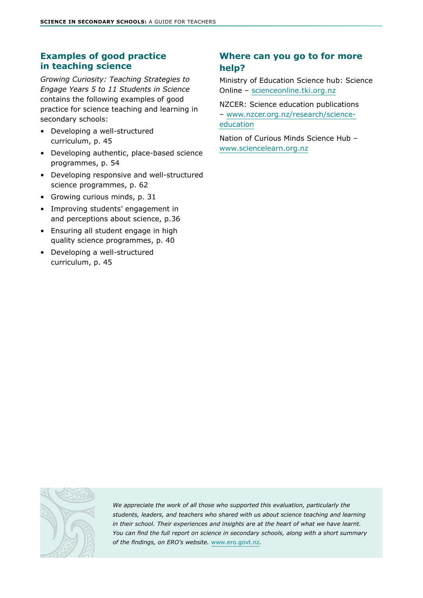### **Examples of good practice in teaching science**

*Growing Curiosity: Teaching Strategies to Engage Years 5 to 11 Students in Science* contains the following examples of good practice for science teaching and learning in secondary schools:

- Developing a well-structured curriculum, p. 45
- Developing authentic, place-based science programmes, p. 54
- Developing responsive and well-structured science programmes, p. 62
- Growing curious minds, p. 31
- Improving students' engagement in and perceptions about science, p.36
- Ensuring all student engage in high quality science programmes, p. 40
- Developing a well-structured curriculum, p. 45

## **Where can you go to for more help?**

Ministry of Education Science hub: Science Online – [scienceonline.tki.org.nz](https://scienceonline.tki.org.nz/)

NZCER: Science education publications – [www.nzcer.org.nz/research/science](https://www.nzcer.org.nz/research/science-education)[education](https://www.nzcer.org.nz/research/science-education)

Nation of Curious Minds Science Hub – [www.sciencelearn.org.nz](https://www.sciencelearn.org.nz/)



*We appreciate the work of all those who supported this evaluation, particularly the students, leaders, and teachers who shared with us about science teaching and learning in their school. Their experiences and insights are at the heart of what we have learnt. You can find the full report on science in secondary schools, along with a short summary of the findings, on ERO's website.* [www.ero.govt.nz](http://www.ero.govt.nz)*.*